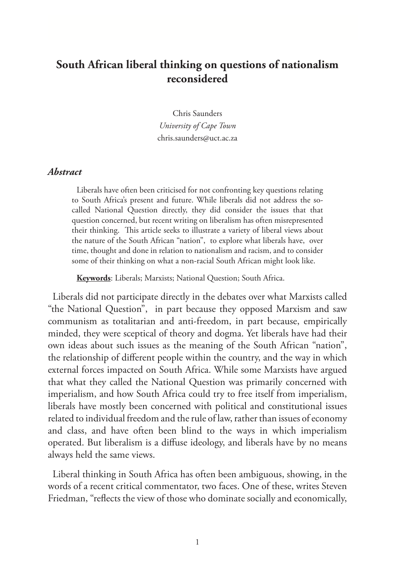## **South African liberal thinking on questions of nationalism reconsidered**

Chris Saunders *University of Cape Town* chris.saunders@uct.ac.za

## *Abstract*

Liberals have often been criticised for not confronting key questions relating to South Africa's present and future. While liberals did not address the socalled National Question directly, they did consider the issues that that question concerned, but recent writing on liberalism has often misrepresented their thinking. This article seeks to illustrate a variety of liberal views about the nature of the South African "nation", to explore what liberals have, over time, thought and done in relation to nationalism and racism, and to consider some of their thinking on what a non-racial South African might look like.

**Keywords**: Liberals; Marxists; National Question; South Africa.

Liberals did not participate directly in the debates over what Marxists called "the National Question", in part because they opposed Marxism and saw communism as totalitarian and anti-freedom, in part because, empirically minded, they were sceptical of theory and dogma. Yet liberals have had their own ideas about such issues as the meaning of the South African "nation", the relationship of different people within the country, and the way in which external forces impacted on South Africa. While some Marxists have argued that what they called the National Question was primarily concerned with imperialism, and how South Africa could try to free itself from imperialism, liberals have mostly been concerned with political and constitutional issues related to individual freedom and the rule of law, rather than issues of economy and class, and have often been blind to the ways in which imperialism operated. But liberalism is a diffuse ideology, and liberals have by no means always held the same views.

Liberal thinking in South Africa has often been ambiguous, showing, in the words of a recent critical commentator, two faces. One of these, writes Steven Friedman, "reflects the view of those who dominate socially and economically,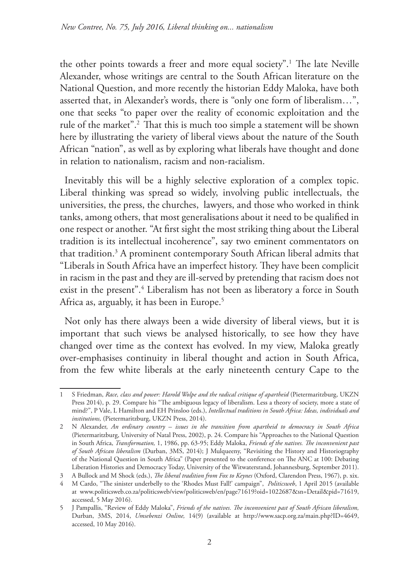the other points towards a freer and more equal society".1 The late Neville Alexander, whose writings are central to the South African literature on the National Question, and more recently the historian Eddy Maloka, have both asserted that, in Alexander's words, there is "only one form of liberalism…", one that seeks "to paper over the reality of economic exploitation and the rule of the market".2 That this is much too simple a statement will be shown here by illustrating the variety of liberal views about the nature of the South African "nation", as well as by exploring what liberals have thought and done in relation to nationalism, racism and non-racialism.

Inevitably this will be a highly selective exploration of a complex topic. Liberal thinking was spread so widely, involving public intellectuals, the universities, the press, the churches, lawyers, and those who worked in think tanks, among others, that most generalisations about it need to be qualified in one respect or another. "At first sight the most striking thing about the Liberal tradition is its intellectual incoherence", say two eminent commentators on that tradition.3 A prominent contemporary South African liberal admits that "Liberals in South Africa have an imperfect history. They have been complicit in racism in the past and they are ill-served by pretending that racism does not exist in the present".4 Liberalism has not been as liberatory a force in South Africa as, arguably, it has been in Europe.<sup>5</sup>

Not only has there always been a wide diversity of liberal views, but it is important that such views be analysed historically, to see how they have changed over time as the context has evolved. In my view, Maloka greatly over-emphasises continuity in liberal thought and action in South Africa, from the few white liberals at the early nineteenth century Cape to the

<sup>1</sup> S Friedman, *Race, class and power: Harold Wolpe and the radical critique of apartheid* (Pietermaritzburg, UKZN Press 2014), p. 29. Compare his "The ambiguous legacy of liberalism. Less a theory of society, more a state of mind?", P Vale, L Hamilton and EH Prinsloo (eds.), *Intellectual traditions in South Africa: Ideas, individuals and institutions,* (Pietermaritzburg, UKZN Press, 2014).

<sup>2</sup> N Alexander, *An ordinary country – issues in the transition from apartheid to democracy in South Africa* (Pietermaritzburg, University of Natal Press, 2002), p. 24. Compare his "Approaches to the National Question in South Africa, *Transformation,* 1, 1986, pp. 63-95; Eddy Maloka, *Friends of the natives. The inconvenient past of South African liberalism* (Durban, 3MS, 2014); J Mulqueeny, "Revisiting the History and Historiography of the National Question in South Africa" (Paper presented to the conference on The ANC at 100: Debating Liberation Histories and Democracy Today, University of the Witwatersrand, Johannesburg, September 2011).

<sup>3</sup> A Bullock and M Shock (eds.), *The liberal tradition from Fox to Keynes* (Oxford, Clarendon Press, 1967), p. xix.

<sup>4</sup> M Cardo, "The sinister underbelly to the 'Rhodes Must Fall!' campaign", *Politicsweb*, 1 April 2015 (available at www.politicsweb.co.za/politicsweb/view/politicsweb/en/page71619?oid=1022687&sn=Detail&pid=71619, accessed, 5 May 2016).

<sup>5</sup> J Pampallis, "Review of Eddy Maloka", *Friends of the natives. The inconvenient past of South African liberalism,*  Durban, 3MS, 2014, *Umsebenzi Online,* 14(9) (available at http://www.sacp.org.za/main.php?ID=4649, accessed, 10 May 2016).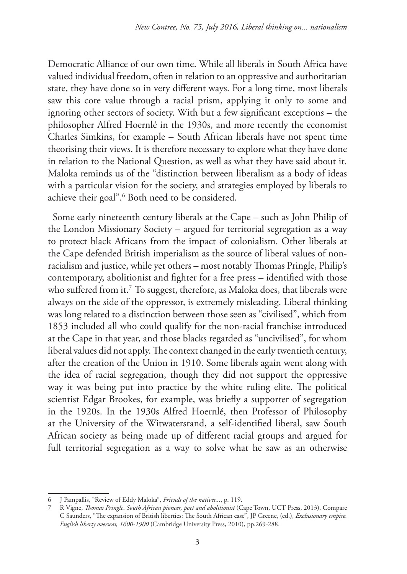Democratic Alliance of our own time. While all liberals in South Africa have valued individual freedom, often in relation to an oppressive and authoritarian state, they have done so in very different ways. For a long time, most liberals saw this core value through a racial prism, applying it only to some and ignoring other sectors of society. With but a few significant exceptions – the philosopher Alfred Hoernlé in the 1930s, and more recently the economist Charles Simkins, for example – South African liberals have not spent time theorising their views. It is therefore necessary to explore what they have done in relation to the National Question, as well as what they have said about it. Maloka reminds us of the "distinction between liberalism as a body of ideas with a particular vision for the society, and strategies employed by liberals to achieve their goal".<sup>6</sup> Both need to be considered.

Some early nineteenth century liberals at the Cape – such as John Philip of the London Missionary Society – argued for territorial segregation as a way to protect black Africans from the impact of colonialism. Other liberals at the Cape defended British imperialism as the source of liberal values of nonracialism and justice, while yet others – most notably Thomas Pringle, Philip's contemporary, abolitionist and fighter for a free press – identified with those who suffered from it.<sup>7</sup> To suggest, therefore, as Maloka does, that liberals were always on the side of the oppressor, is extremely misleading. Liberal thinking was long related to a distinction between those seen as "civilised", which from 1853 included all who could qualify for the non-racial franchise introduced at the Cape in that year, and those blacks regarded as "uncivilised", for whom liberal values did not apply. The context changed in the early twentieth century, after the creation of the Union in 1910. Some liberals again went along with the idea of racial segregation, though they did not support the oppressive way it was being put into practice by the white ruling elite. The political scientist Edgar Brookes, for example, was briefly a supporter of segregation in the 1920s. In the 1930s Alfred Hoernlé, then Professor of Philosophy at the University of the Witwatersrand, a self-identified liberal, saw South African society as being made up of different racial groups and argued for full territorial segregation as a way to solve what he saw as an otherwise

<sup>6</sup> J Pampallis, "Review of Eddy Maloka", *Friends of the natives...*, p. 119.

<sup>7</sup> R Vigne, *Thomas Pringle*. *South African pioneer, poet and abolitionist* (Cape Town, UCT Press, 2013). Compare C Saunders, "The expansion of British liberties: The South African case", JP Greene, (ed.), *Exclusionary empire. English liberty overseas, 1600-1900* (Cambridge University Press, 2010), pp.269-288.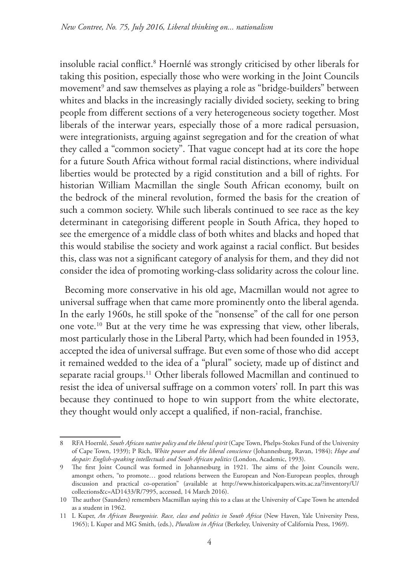insoluble racial conflict.8 Hoernlé was strongly criticised by other liberals for taking this position, especially those who were working in the Joint Councils movement $^{\circ}$  and saw themselves as playing a role as "bridge-builders" between whites and blacks in the increasingly racially divided society, seeking to bring people from different sections of a very heterogeneous society together. Most liberals of the interwar years, especially those of a more radical persuasion, were integrationists, arguing against segregation and for the creation of what they called a "common society". That vague concept had at its core the hope for a future South Africa without formal racial distinctions, where individual liberties would be protected by a rigid constitution and a bill of rights. For historian William Macmillan the single South African economy, built on the bedrock of the mineral revolution, formed the basis for the creation of such a common society. While such liberals continued to see race as the key determinant in categorising different people in South Africa, they hoped to see the emergence of a middle class of both whites and blacks and hoped that this would stabilise the society and work against a racial conflict. But besides this, class was not a significant category of analysis for them, and they did not consider the idea of promoting working-class solidarity across the colour line.

Becoming more conservative in his old age, Macmillan would not agree to universal suffrage when that came more prominently onto the liberal agenda. In the early 1960s, he still spoke of the "nonsense" of the call for one person one vote.10 But at the very time he was expressing that view, other liberals, most particularly those in the Liberal Party, which had been founded in 1953, accepted the idea of universal suffrage. But even some of those who did accept it remained wedded to the idea of a "plural" society, made up of distinct and separate racial groups.<sup>11</sup> Other liberals followed Macmillan and continued to resist the idea of universal suffrage on a common voters' roll. In part this was because they continued to hope to win support from the white electorate, they thought would only accept a qualified, if non-racial, franchise.

<sup>8</sup> RFA Hoernlé, *South African native policy and the liberal spirit* (Cape Town, Phelps-Stokes Fund of the University of Cape Town, 1939); P Rich, *White power and the liberal conscience* (Johannesburg, Ravan, 1984); *Hope and despair: English-speaking intellectuals and South African politics* (London, Academic, 1993).

<sup>9</sup> The first Joint Council was formed in Johannesburg in 1921. The aims of the Joint Councils were, amongst others, "to promote… good relations between the European and Non-European peoples, through discussion and practical co-operation" (available at http://www.historicalpapers.wits.ac.za/?inventory/U/ collections&c=AD1433/R/7995, accessed, 14 March 2016).

<sup>10</sup> The author (Saunders) remembers Macmillan saying this to a class at the University of Cape Town he attended as a student in 1962.

<sup>11</sup> L Kuper, *An African Bourgeoisie. Race, class and politics in South Africa* (New Haven, Yale University Press, 1965); L Kuper and MG Smith, (eds.), *Pluralism in Africa* (Berkeley, University of California Press, 1969).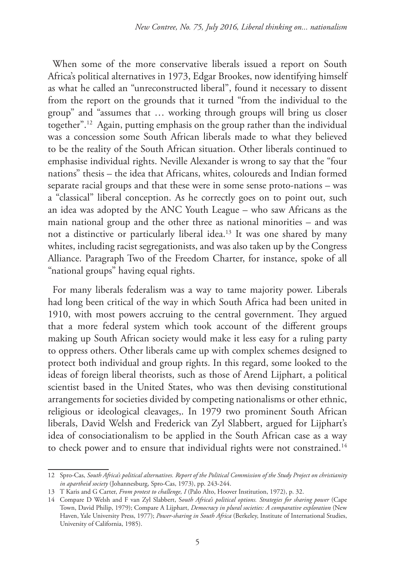When some of the more conservative liberals issued a report on South Africa's political alternatives in 1973, Edgar Brookes, now identifying himself as what he called an "unreconstructed liberal", found it necessary to dissent from the report on the grounds that it turned "from the individual to the group" and "assumes that … working through groups will bring us closer together".12 Again, putting emphasis on the group rather than the individual was a concession some South African liberals made to what they believed to be the reality of the South African situation. Other liberals continued to emphasise individual rights. Neville Alexander is wrong to say that the "four nations" thesis – the idea that Africans, whites, coloureds and Indian formed separate racial groups and that these were in some sense proto-nations – was a "classical" liberal conception. As he correctly goes on to point out, such an idea was adopted by the ANC Youth League – who saw Africans as the main national group and the other three as national minorities – and was not a distinctive or particularly liberal idea.13 It was one shared by many whites, including racist segregationists, and was also taken up by the Congress Alliance. Paragraph Two of the Freedom Charter, for instance, spoke of all "national groups" having equal rights.

For many liberals federalism was a way to tame majority power. Liberals had long been critical of the way in which South Africa had been united in 1910, with most powers accruing to the central government. They argued that a more federal system which took account of the different groups making up South African society would make it less easy for a ruling party to oppress others. Other liberals came up with complex schemes designed to protect both individual and group rights. In this regard, some looked to the ideas of foreign liberal theorists, such as those of Arend Lijphart, a political scientist based in the United States, who was then devising constitutional arrangements for societies divided by competing nationalisms or other ethnic, religious or ideological cleavages,. In 1979 two prominent South African liberals, David Welsh and Frederick van Zyl Slabbert, argued for Lijphart's idea of consociationalism to be applied in the South African case as a way to check power and to ensure that individual rights were not constrained.<sup>14</sup>

<sup>12</sup> Spro-Cas, *South Africa's political alternatives. Report of the Political Commission of the Study Project on christianity in apartheid society* (Johannesburg, Spro-Cas, 1973), pp. 243-244.

<sup>13</sup> T Karis and G Carter, *From protest to challenge, I* (Palo Alto, Hoover Institution, 1972), p. 32.

<sup>14</sup> Compare D Welsh and F van Zyl Slabbert, S*outh Africa's political options. Strategies for sharing power* (Cape Town, David Philip, 1979); Compare A Lijphart, *Democracy in plural societies: A comparative exploration* (New Haven, Yale University Press, 1977); *Power-sharing in South Africa* (Berkeley, Institute of International Studies, University of California, 1985).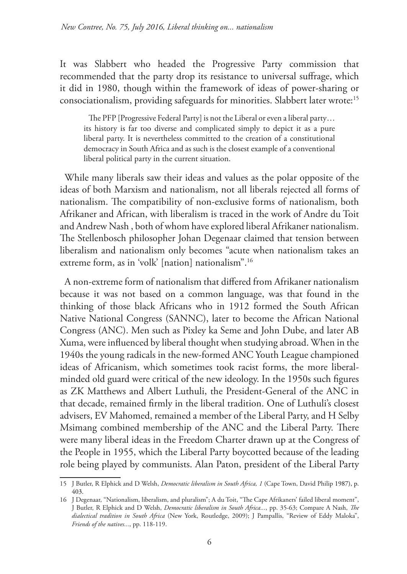It was Slabbert who headed the Progressive Party commission that recommended that the party drop its resistance to universal suffrage, which it did in 1980, though within the framework of ideas of power-sharing or consociationalism, providing safeguards for minorities. Slabbert later wrote:<sup>15</sup>

The PFP [Progressive Federal Party] is not the Liberal or even a liberal party… its history is far too diverse and complicated simply to depict it as a pure liberal party. It is nevertheless committed to the creation of a constitutional democracy in South Africa and as such is the closest example of a conventional liberal political party in the current situation.

While many liberals saw their ideas and values as the polar opposite of the ideas of both Marxism and nationalism, not all liberals rejected all forms of nationalism. The compatibility of non-exclusive forms of nationalism, both Afrikaner and African, with liberalism is traced in the work of Andre du Toit and Andrew Nash , both of whom have explored liberal Afrikaner nationalism. The Stellenbosch philosopher Johan Degenaar claimed that tension between liberalism and nationalism only becomes "acute when nationalism takes an extreme form, as in 'volk' [nation] nationalism".16

A non-extreme form of nationalism that differed from Afrikaner nationalism because it was not based on a common language, was that found in the thinking of those black Africans who in 1912 formed the South African Native National Congress (SANNC), later to become the African National Congress (ANC). Men such as Pixley ka Seme and John Dube, and later AB Xuma, were influenced by liberal thought when studying abroad. When in the 1940s the young radicals in the new-formed ANC Youth League championed ideas of Africanism, which sometimes took racist forms, the more liberalminded old guard were critical of the new ideology. In the 1950s such figures as ZK Matthews and Albert Luthuli, the President-General of the ANC in that decade, remained firmly in the liberal tradition. One of Luthuli's closest advisers, EV Mahomed, remained a member of the Liberal Party, and H Selby Msimang combined membership of the ANC and the Liberal Party. There were many liberal ideas in the Freedom Charter drawn up at the Congress of the People in 1955, which the Liberal Party boycotted because of the leading role being played by communists. Alan Paton, president of the Liberal Party

<sup>15</sup> J Butler, R Elphick and D Welsh, *Democratic liberalism in South Africa, 1* (Cape Town, David Philip 1987), p. 403.

<sup>16</sup> J Degenaar, "Nationalism, liberalism, and pluralism"; A du Toit, "The Cape Afrikaners' failed liberal moment", J Butler, R Elphick and D Welsh, *Democratic liberalism in South Africa...*, pp. 35-63; Compare A Nash, *The dialectical tradition in South Africa* (New York, Routledge, 2009); J Pampallis, "Review of Eddy Maloka", *Friends of the natives...*, pp. 118-119.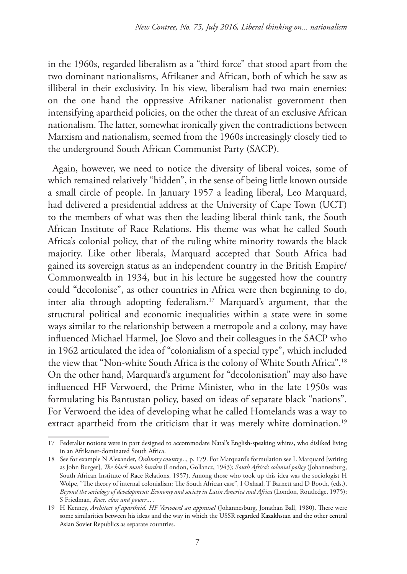in the 1960s, regarded liberalism as a "third force" that stood apart from the two dominant nationalisms, Afrikaner and African, both of which he saw as illiberal in their exclusivity. In his view, liberalism had two main enemies: on the one hand the oppressive Afrikaner nationalist government then intensifying apartheid policies, on the other the threat of an exclusive African nationalism. The latter, somewhat ironically given the contradictions between Marxism and nationalism, seemed from the 1960s increasingly closely tied to the underground South African Communist Party (SACP).

Again, however, we need to notice the diversity of liberal voices, some of which remained relatively "hidden", in the sense of being little known outside a small circle of people. In January 1957 a leading liberal, Leo Marquard, had delivered a presidential address at the University of Cape Town (UCT) to the members of what was then the leading liberal think tank, the South African Institute of Race Relations. His theme was what he called South Africa's colonial policy, that of the ruling white minority towards the black majority. Like other liberals, Marquard accepted that South Africa had gained its sovereign status as an independent country in the British Empire/ Commonwealth in 1934, but in his lecture he suggested how the country could "decolonise", as other countries in Africa were then beginning to do, inter alia through adopting federalism.17 Marquard's argument, that the structural political and economic inequalities within a state were in some ways similar to the relationship between a metropole and a colony, may have influenced Michael Harmel, Joe Slovo and their colleagues in the SACP who in 1962 articulated the idea of "colonialism of a special type", which included the view that "Non-white South Africa is the colony of White South Africa".18 On the other hand, Marquard's argument for "decolonisation" may also have influenced HF Verwoerd, the Prime Minister, who in the late 1950s was formulating his Bantustan policy, based on ideas of separate black "nations". For Verwoerd the idea of developing what he called Homelands was a way to extract apartheid from the criticism that it was merely white domination.<sup>19</sup>

<sup>17</sup> Federalist notions were in part designed to accommodate Natal's English-speaking whites, who disliked living in an Afrikaner-dominated South Africa.

<sup>18</sup> See for example N Alexander, *Ordinary country...*, p. 179. For Marquard's formulation see L Marquard [writing as John Burger], *The black man's burden* (London, Gollancz, 1943); *South Africa's colonial policy* (Johannesburg, South African Institute of Race Relations, 1957). Among those who took up this idea was the sociologist H Wolpe, "The theory of internal colonialism: The South African case", I Oxhaal, T Barnett and D Booth, (eds.), *Beyond the sociology of development: Economy and society in Latin America and Africa* (London, Routledge, 1975); S Friedman, *Race, class and power*... .

<sup>19</sup> H Kenney, *Architect of apartheid. HF Verwoerd an appraisal* (Johannesburg, Jonathan Ball, 1980). There were some similarities between his ideas and the way in which the USSR regarded Kazakhstan and the other central Asian Soviet Republics as separate countries.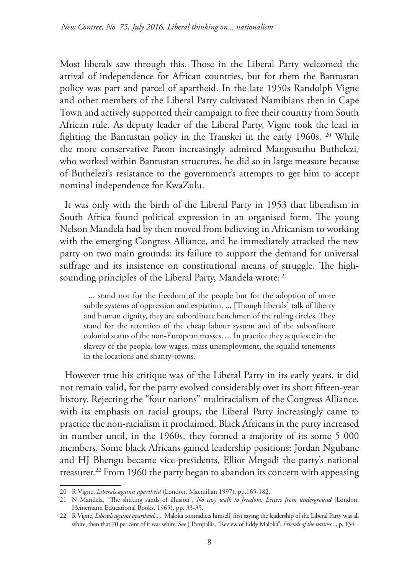Most liberals saw through this. Those in the Liberal Party welcomed the arrival of independence for African countries, but for them the Bantustan policy was part and parcel of apartheid. In the late 1950s Randolph Vigne and other members of the Liberal Party cultivated Namibians then in Cape Town and actively supported their campaign to free their country from South African rule. As deputy leader of the Liberal Party, Vigne took the lead in fighting the Bantustan policy in the Transkei in the early 1960s. 20 While the more conservative Paton increasingly admired Mangosuthu Buthelezi, who worked within Bantustan structures, he did so in large measure because of Buthelezi's resistance to the government's attempts to get him to accept nominal independence for KwaZulu.

It was only with the birth of the Liberal Party in 1953 that liberalism in South Africa found political expression in an organised form. The young Nelson Mandela had by then moved from believing in Africanism to working with the emerging Congress Alliance, and he immediately attacked the new party on two main grounds: its failure to support the demand for universal suffrage and its insistence on constitutional means of struggle. The highsounding principles of the Liberal Party, Mandela wrote: <sup>21</sup>

... stand not for the freedom of the people but for the adoption of more subtle systems of oppression and expiation. ... [Though liberals] talk of liberty and human dignity, they are subordinate henchmen of the ruling circles. They stand for the retention of the cheap labour system and of the subordinate colonial status of the non-European masses…. In practice they acquiesce in the slavery of the people, low wages, mass unemployment, the squalid tenements in the locations and shanty-towns.

However true his critique was of the Liberal Party in its early years, it did not remain valid, for the party evolved considerably over its short fifteen-year history. Rejecting the "four nations" multiracialism of the Congress Alliance, with its emphasis on racial groups, the Liberal Party increasingly came to practice the non-racialism it proclaimed. Black Africans in the party increased in number until, in the 1960s, they formed a majority of its some 5 000 members. Some black Africans gained leadership positions: Jordan Ngubane and HJ Bhengu became vice-presidents, Elliot Mngadi the party's national treasurer.<sup>22</sup> From 1960 the party began to abandon its concern with appeasing

<sup>20</sup> R Vigne, *Liberals against apartheid* (London, Macmillan,1997), pp.165-182.

<sup>21</sup> N Mandela, "The shifting sands of illusion", *No easy walk to freedom. Letters from underground* (London, Heinemann Educational Books, 1965), pp. 33-35.

<sup>22</sup> R Vigne, *Liberals against apartheid..*. . Maloka contradicts himself, first saying the leadership of the Liberal Party was all white, then that 70 per cent of it was white. See J Pampallis, "Review of Eddy Maloka", *Friends of the natives...*, p. 134.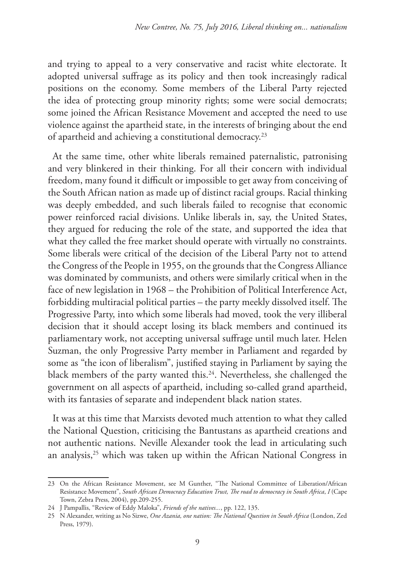and trying to appeal to a very conservative and racist white electorate. It adopted universal suffrage as its policy and then took increasingly radical positions on the economy. Some members of the Liberal Party rejected the idea of protecting group minority rights; some were social democrats; some joined the African Resistance Movement and accepted the need to use violence against the apartheid state, in the interests of bringing about the end of apartheid and achieving a constitutional democracy.23

At the same time, other white liberals remained paternalistic, patronising and very blinkered in their thinking. For all their concern with individual freedom, many found it difficult or impossible to get away from conceiving of the South African nation as made up of distinct racial groups. Racial thinking was deeply embedded, and such liberals failed to recognise that economic power reinforced racial divisions. Unlike liberals in, say, the United States, they argued for reducing the role of the state, and supported the idea that what they called the free market should operate with virtually no constraints. Some liberals were critical of the decision of the Liberal Party not to attend the Congress of the People in 1955, on the grounds that the Congress Alliance was dominated by communists, and others were similarly critical when in the face of new legislation in 1968 – the Prohibition of Political Interference Act, forbidding multiracial political parties – the party meekly dissolved itself. The Progressive Party, into which some liberals had moved, took the very illiberal decision that it should accept losing its black members and continued its parliamentary work, not accepting universal suffrage until much later. Helen Suzman, the only Progressive Party member in Parliament and regarded by some as "the icon of liberalism", justified staying in Parliament by saying the black members of the party wanted this.<sup>24</sup>. Nevertheless, she challenged the government on all aspects of apartheid, including so-called grand apartheid, with its fantasies of separate and independent black nation states.

It was at this time that Marxists devoted much attention to what they called the National Question, criticising the Bantustans as apartheid creations and not authentic nations. Neville Alexander took the lead in articulating such an analysis,<sup>25</sup> which was taken up within the African National Congress in

<sup>23</sup> On the African Resistance Movement, see M Gunther, "The National Committee of Liberation/African Resistance Movement", *South African Democracy Education Trust, The road to democracy in South Africa*, *I* (Cape Town, Zebra Press, 2004), pp.209-255.

<sup>24</sup> J Pampallis, "Review of Eddy Maloka", *Friends of the natives...*, pp. 122, 135.

<sup>25</sup> N Alexander, writing as No Sizwe, *One Azania, one nation: The National Question in South Africa* (London, Zed Press, 1979).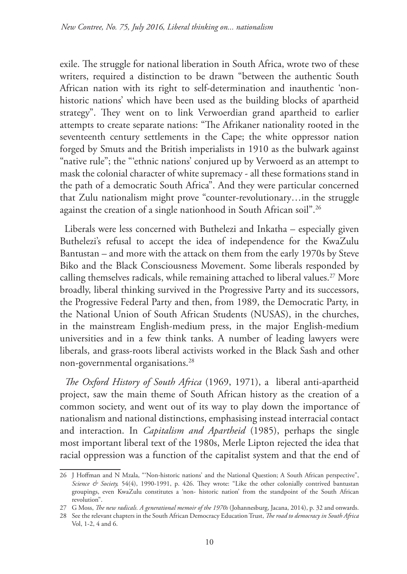exile. The struggle for national liberation in South Africa, wrote two of these writers, required a distinction to be drawn "between the authentic South African nation with its right to self-determination and inauthentic 'nonhistoric nations' which have been used as the building blocks of apartheid strategy". They went on to link Verwoerdian grand apartheid to earlier attempts to create separate nations: "The Afrikaner nationality rooted in the seventeenth century settlements in the Cape; the white oppressor nation forged by Smuts and the British imperialists in 1910 as the bulwark against "native rule"; the "'ethnic nations' conjured up by Verwoerd as an attempt to mask the colonial character of white supremacy - all these formations stand in the path of a democratic South Africa". And they were particular concerned that Zulu nationalism might prove "counter-revolutionary…in the struggle against the creation of a single nationhood in South African soil".26

Liberals were less concerned with Buthelezi and Inkatha – especially given Buthelezi's refusal to accept the idea of independence for the KwaZulu Bantustan – and more with the attack on them from the early 1970s by Steve Biko and the Black Consciousness Movement. Some liberals responded by calling themselves radicals, while remaining attached to liberal values.<sup>27</sup> More broadly, liberal thinking survived in the Progressive Party and its successors, the Progressive Federal Party and then, from 1989, the Democratic Party, in the National Union of South African Students (NUSAS), in the churches, in the mainstream English-medium press, in the major English-medium universities and in a few think tanks. A number of leading lawyers were liberals, and grass-roots liberal activists worked in the Black Sash and other non-governmental organisations.28

*The Oxford History of South Africa* (1969, 1971), a liberal anti-apartheid project, saw the main theme of South African history as the creation of a common society, and went out of its way to play down the importance of nationalism and national distinctions, emphasising instead interracial contact and interaction. In *Capitalism and Apartheid* (1985), perhaps the single most important liberal text of the 1980s, Merle Lipton rejected the idea that racial oppression was a function of the capitalist system and that the end of

<sup>26</sup> J Hoffman and N Mzala, "'Non-historic nations' and the National Question; A South African perspective", *Science & Society,* 54(4), 1990-1991, p. 426. They wrote: "Like the other colonially contrived bantustan groupings, even KwaZulu constitutes a 'non- historic nation' from the standpoint of the South African revolution".

<sup>27</sup> G Moss, *The new radicals. A generational memoir of the 1970s* (Johannesburg, Jacana, 2014), p. 32 and onwards.

<sup>28</sup> See the relevant chapters in the South African Democracy Education Trust, *The road to democracy in South Africa* Vol, 1-2, 4 and 6.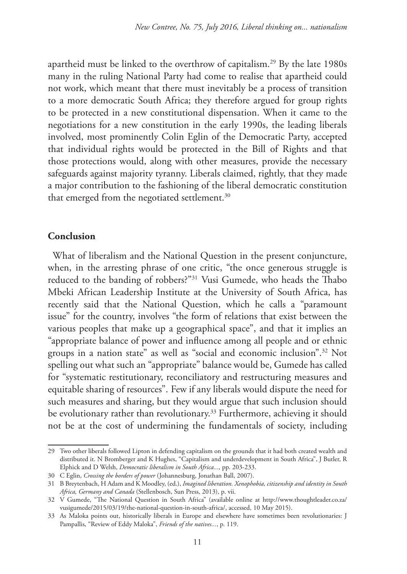apartheid must be linked to the overthrow of capitalism.29 By the late 1980s many in the ruling National Party had come to realise that apartheid could not work, which meant that there must inevitably be a process of transition to a more democratic South Africa; they therefore argued for group rights to be protected in a new constitutional dispensation. When it came to the negotiations for a new constitution in the early 1990s, the leading liberals involved, most prominently Colin Eglin of the Democratic Party, accepted that individual rights would be protected in the Bill of Rights and that those protections would, along with other measures, provide the necessary safeguards against majority tyranny. Liberals claimed, rightly, that they made a major contribution to the fashioning of the liberal democratic constitution that emerged from the negotiated settlement.<sup>30</sup>

## **Conclusion**

What of liberalism and the National Question in the present conjuncture, when, in the arresting phrase of one critic, "the once generous struggle is reduced to the banding of robbers?"31 Vusi Gumede, who heads the Thabo Mbeki African Leadership Institute at the University of South Africa, has recently said that the National Question, which he calls a "paramount issue" for the country, involves "the form of relations that exist between the various peoples that make up a geographical space", and that it implies an "appropriate balance of power and influence among all people and or ethnic groups in a nation state" as well as "social and economic inclusion".32 Not spelling out what such an "appropriate" balance would be, Gumede has called for "systematic restitutionary, reconciliatory and restructuring measures and equitable sharing of resources". Few if any liberals would dispute the need for such measures and sharing, but they would argue that such inclusion should be evolutionary rather than revolutionary.<sup>33</sup> Furthermore, achieving it should not be at the cost of undermining the fundamentals of society, including

<sup>29</sup> Two other liberals followed Lipton in defending capitalism on the grounds that it had both created wealth and distributed it. N Bromberger and K Hughes, "Capitalism and underdevelopment in South Africa", J Butler, R Elphick and D Welsh, *Democratic liberalism in South Africa...,* pp. 203-233.

<sup>30</sup> C Eglin, *Crossing the borders of power* (Johannesburg, Jonathan Ball, 2007).

<sup>31</sup> B Breytenbach, H Adam and K Moodley, (ed.), *Imagined liberation. Xenophobia, citizenship and identity in South Africa, Germany and Canada* (Stellenbosch, Sun Press, 2013), p. vii.

<sup>32</sup> V Gumede, "The National Question in South Africa" (available online at http://www.thoughtleader.co.za/ vusigumede/2015/03/19/the-national-question-in-south-africa/, accessed, 10 May 2015).

<sup>33</sup> As Maloka points out, historically liberals in Europe and elsewhere have sometimes been revolutionaries: J Pampallis, "Review of Eddy Maloka", *Friends of the natives...*, p. 119.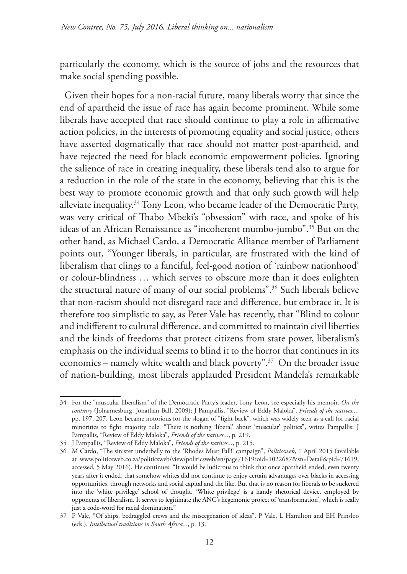particularly the economy, which is the source of jobs and the resources that make social spending possible.

Given their hopes for a non-racial future, many liberals worry that since the end of apartheid the issue of race has again become prominent. While some liberals have accepted that race should continue to play a role in affirmative action policies, in the interests of promoting equality and social justice, others have asserted dogmatically that race should not matter post-apartheid, and have rejected the need for black economic empowerment policies. Ignoring the salience of race in creating inequality, these liberals tend also to argue for a reduction in the role of the state in the economy, believing that this is the best way to promote economic growth and that only such growth will help alleviate inequality.<sup>34</sup> Tony Leon, who became leader of the Democratic Party, was very critical of Thabo Mbeki's "obsession" with race, and spoke of his ideas of an African Renaissance as "incoherent mumbo-jumbo".35 But on the other hand, as Michael Cardo, a Democratic Alliance member of Parliament points out, "Younger liberals, in particular, are frustrated with the kind of liberalism that clings to a fanciful, feel-good notion of 'rainbow nationhood' or colour-blindness … which serves to obscure more than it does enlighten the structural nature of many of our social problems".36 Such liberals believe that non-racism should not disregard race and difference, but embrace it. It is therefore too simplistic to say, as Peter Vale has recently, that "Blind to colour and indifferent to cultural difference, and committed to maintain civil liberties and the kinds of freedoms that protect citizens from state power, liberalism's emphasis on the individual seems to blind it to the horror that continues in its economics – namely white wealth and black poverty".<sup>37</sup> On the broader issue of nation-building, most liberals applauded President Mandela's remarkable

<sup>34</sup> For the "muscular liberalism" of the Democratic Party's leader, Tony Leon, see especially his memoir, *On the contrary* (Johannesburg, Jonathan Ball, 2009); J Pampallis, "Review of Eddy Maloka", *Friends of the natives...,* pp. 197, 207. Leon became notorious for the slogan of "fight back", which was widely seen as a call for racial minorities to fight majority rule. "There is nothing 'liberal' about 'muscular' politics", writes Pampallis: J Pampallis, "Review of Eddy Maloka", *Friends of the natives...*, p. 219.

<sup>35</sup> J Pampallis, "Review of Eddy Maloka", *Friends of the natives...*, p. 215.

<sup>36</sup> M Cardo, "The sinister underbelly to the 'Rhodes Must Fall!' campaign", *Politicsweb*, 1 April 2015 (available at www.politicsweb.co.za/politicsweb/view/politicsweb/en/page71619?oid=1022687&sn=Detail&pid=71619, accessed, 5 May 2016). He continues: "It would be ludicrous to think that once apartheid ended, even twenty years after it ended, that somehow whites did not continue to enjoy certain advantages over blacks in accessing opportunities, through networks and social capital and the like. But that is no reason for liberals to be suckered into the 'white privilege' school of thought. 'White privilege' is a handy rhetorical device, employed by opponents of liberalism. It serves to legitimate the ANC's hegemonic project of 'transformation', which is really just a code-word for racial domination."

<sup>37</sup> P Vale, "Of ships, bedraggled crews and the miscegenation of ideas", P Vale, L Hamilton and EH Prinsloo (eds.), *Intellectual traditions in South Africa...*, p. 13.